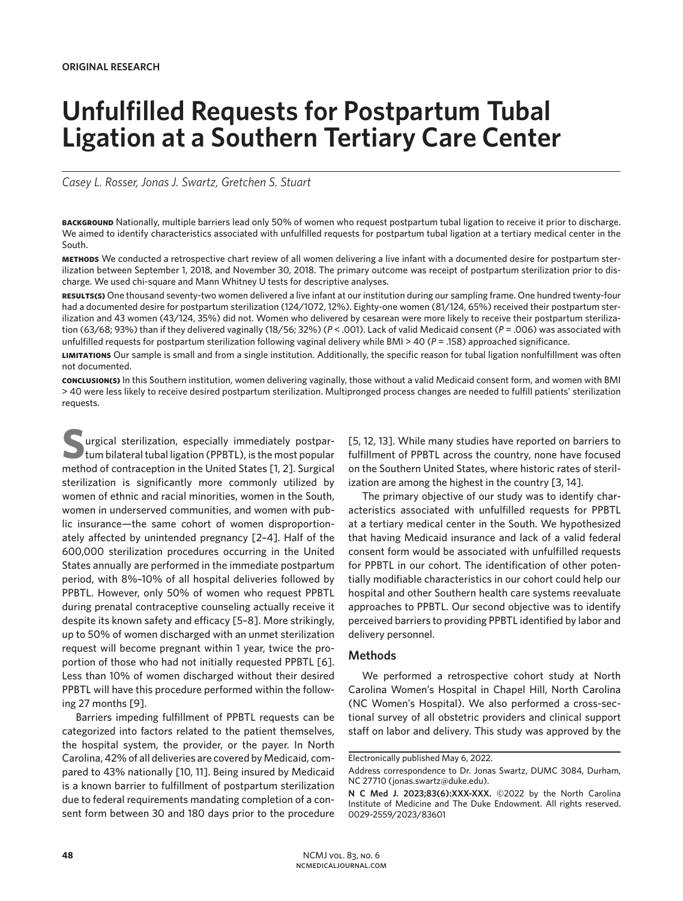# **Unfulfilled Requests for Postpartum Tubal Ligation at a Southern Tertiary Care Center**

*Casey L. Rosser, Jonas J. Swartz, Gretchen S. Stuart*

**background** Nationally, multiple barriers lead only 50% of women who request postpartum tubal ligation to receive it prior to discharge. We aimed to identify characteristics associated with unfulfilled requests for postpartum tubal ligation at a tertiary medical center in the South.

**methods** We conducted a retrospective chart review of all women delivering a live infant with a documented desire for postpartum sterilization between September 1, 2018, and November 30, 2018. The primary outcome was receipt of postpartum sterilization prior to discharge. We used chi-square and Mann Whitney U tests for descriptive analyses.

**results(s)** One thousand seventy-two women delivered a live infant at our institution during our sampling frame. One hundred twenty-four had a documented desire for postpartum sterilization (124/1072, 12%). Eighty-one women (81/124, 65%) received their postpartum sterilization and 43 women (43/124, 35%) did not. Women who delivered by cesarean were more likely to receive their postpartum sterilization (63/68; 93%) than if they delivered vaginally (18/56; 32%) (*P* < .001). Lack of valid Medicaid consent (*P* = .006) was associated with unfulfilled requests for postpartum sterilization following vaginal delivery while BMI > 40 (*P* = .158) approached significance.

**limitations** Our sample is small and from a single institution. Additionally, the specific reason for tubal ligation nonfulfillment was often not documented.

**conclusion(s)** In this Southern institution, women delivering vaginally, those without a valid Medicaid consent form, and women with BMI > 40 were less likely to receive desired postpartum sterilization. Multipronged process changes are needed to fulfill patients' sterilization requests.

**S**urgical sterilization, especially immediately postpartum bilateral tubal ligation (PPBTL), is the most popular method of contraception in the United States [1, 2]. Surgical sterilization is significantly more commonly utilized by women of ethnic and racial minorities, women in the South, women in underserved communities, and women with public insurance—the same cohort of women disproportionately affected by unintended pregnancy [2–4]. Half of the 600,000 sterilization procedures occurring in the United States annually are performed in the immediate postpartum period, with 8%–10% of all hospital deliveries followed by PPBTL. However, only 50% of women who request PPBTL during prenatal contraceptive counseling actually receive it despite its known safety and efficacy [5–8]. More strikingly, up to 50% of women discharged with an unmet sterilization request will become pregnant within 1 year, twice the proportion of those who had not initially requested PPBTL [6]. Less than 10% of women discharged without their desired PPBTL will have this procedure performed within the following 27 months [9].

Barriers impeding fulfillment of PPBTL requests can be categorized into factors related to the patient themselves, the hospital system, the provider, or the payer. In North Carolina, 42% of all deliveries are covered by Medicaid, compared to 43% nationally [10, 11]. Being insured by Medicaid is a known barrier to fulfillment of postpartum sterilization due to federal requirements mandating completion of a consent form between 30 and 180 days prior to the procedure

[5, 12, 13]. While many studies have reported on barriers to fulfillment of PPBTL across the country, none have focused on the Southern United States, where historic rates of sterilization are among the highest in the country [3, 14].

The primary objective of our study was to identify characteristics associated with unfulfilled requests for PPBTL at a tertiary medical center in the South. We hypothesized that having Medicaid insurance and lack of a valid federal consent form would be associated with unfulfilled requests for PPBTL in our cohort. The identification of other potentially modifiable characteristics in our cohort could help our hospital and other Southern health care systems reevaluate approaches to PPBTL. Our second objective was to identify perceived barriers to providing PPBTL identified by labor and delivery personnel.

## **Methods**

We performed a retrospective cohort study at North Carolina Women's Hospital in Chapel Hill, North Carolina (NC Women's Hospital). We also performed a cross-sectional survey of all obstetric providers and clinical support staff on labor and delivery. This study was approved by the

Electronically published May 6, 2022.

Address correspondence to Dr. Jonas Swartz, DUMC 3084, Durham, NC 27710 (jonas.swartz@duke.edu).

**N C Med J. 2023;83(6):XXX-XXX.** ©2022 by the North Carolina Institute of Medicine and The Duke Endowment. All rights reserved. 0029-2559/2023/83601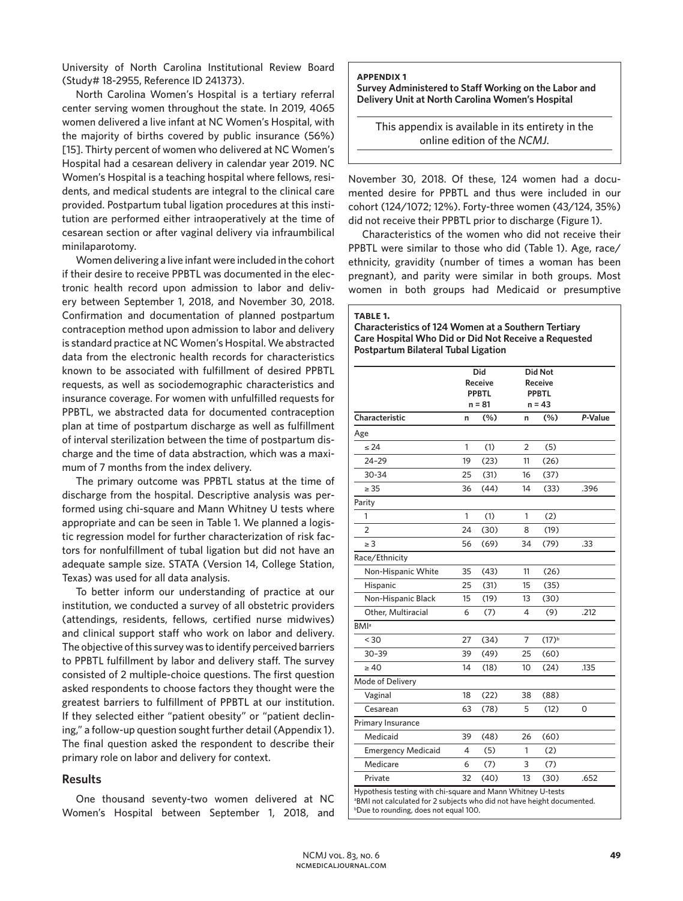University of North Carolina Institutional Review Board (Study# 18-2955, Reference ID 241373).

North Carolina Women's Hospital is a tertiary referral center serving women throughout the state. In 2019, 4065 women delivered a live infant at NC Women's Hospital, with the majority of births covered by public insurance (56%) [15]. Thirty percent of women who delivered at NC Women's Hospital had a cesarean delivery in calendar year 2019. NC Women's Hospital is a teaching hospital where fellows, residents, and medical students are integral to the clinical care provided. Postpartum tubal ligation procedures at this institution are performed either intraoperatively at the time of cesarean section or after vaginal delivery via infraumbilical minilaparotomy.

Women delivering a live infant were included in the cohort if their desire to receive PPBTL was documented in the electronic health record upon admission to labor and delivery between September 1, 2018, and November 30, 2018. Confirmation and documentation of planned postpartum contraception method upon admission to labor and delivery is standard practice at NC Women's Hospital. We abstracted data from the electronic health records for characteristics known to be associated with fulfillment of desired PPBTL requests, as well as sociodemographic characteristics and insurance coverage. For women with unfulfilled requests for PPBTL, we abstracted data for documented contraception plan at time of postpartum discharge as well as fulfillment of interval sterilization between the time of postpartum discharge and the time of data abstraction, which was a maximum of 7 months from the index delivery.

The primary outcome was PPBTL status at the time of discharge from the hospital. Descriptive analysis was performed using chi-square and Mann Whitney U tests where appropriate and can be seen in Table 1. We planned a logistic regression model for further characterization of risk factors for nonfulfillment of tubal ligation but did not have an adequate sample size. STATA (Version 14, College Station, Texas) was used for all data analysis.

To better inform our understanding of practice at our institution, we conducted a survey of all obstetric providers (attendings, residents, fellows, certified nurse midwives) and clinical support staff who work on labor and delivery. The objective of this survey was to identify perceived barriers to PPBTL fulfillment by labor and delivery staff. The survey consisted of 2 multiple-choice questions. The first question asked respondents to choose factors they thought were the greatest barriers to fulfillment of PPBTL at our institution. If they selected either "patient obesity" or "patient declining," a follow-up question sought further detail (Appendix 1). The final question asked the respondent to describe their primary role on labor and delivery for context.

### **Results**

One thousand seventy-two women delivered at NC Women's Hospital between September 1, 2018, and **appendix 1**

**Survey Administered to Staff Working on the Labor and Delivery Unit at North Carolina Women's Hospital** 

This appendix is available in its entirety in the online edition of the *NCMJ*.

November 30, 2018. Of these, 124 women had a documented desire for PPBTL and thus were included in our cohort (124/1072; 12%). Forty-three women (43/124, 35%) did not receive their PPBTL prior to discharge (Figure 1).

Characteristics of the women who did not receive their PPBTL were similar to those who did (Table 1). Age, race/ ethnicity, gravidity (number of times a woman has been pregnant), and parity were similar in both groups. Most women in both groups had Medicaid or presumptive

| Characteristics of 124 Women at a Southern Tertiary  |  |
|------------------------------------------------------|--|
| Care Hospital Who Did or Did Not Receive a Requested |  |
| <b>Postpartum Bilateral Tubal Ligation</b>           |  |

|                           |    | Did<br><b>Receive</b><br><b>PPBTL</b><br>n = 81 |                | <b>Did Not</b><br><b>Receive</b><br><b>PPBTL</b><br>$n = 43$ |         |
|---------------------------|----|-------------------------------------------------|----------------|--------------------------------------------------------------|---------|
| Characteristic            | n  | (%)                                             | n              | $(\%)$                                                       | P-Value |
| Age                       |    |                                                 |                |                                                              |         |
| $\leq 24$                 | 1  | (1)                                             | $\overline{2}$ | (5)                                                          |         |
| $24 - 29$                 | 19 | (23)                                            | 11             | (26)                                                         |         |
| 30-34                     | 25 | (31)                                            | 16             | (37)                                                         |         |
| $\geq 35$                 | 36 | (44)                                            | 14             | (33)                                                         | .396    |
| Parity                    |    |                                                 |                |                                                              |         |
| 1                         | 1  | (1)                                             | 1              | (2)                                                          |         |
| $\overline{2}$            | 24 | (30)                                            | 8              | (19)                                                         |         |
| $\geq 3$                  | 56 | (69)                                            | 34             | (79)                                                         | .33     |
| Race/Ethnicity            |    |                                                 |                |                                                              |         |
| Non-Hispanic White        | 35 | (43)                                            | 11             | (26)                                                         |         |
| Hispanic                  | 25 | (31)                                            | 15             | (35)                                                         |         |
| Non-Hispanic Black        | 15 | (19)                                            | 13             | (30)                                                         |         |
| Other, Multiracial        | 6  | (7)                                             | 4              | (9)                                                          | .212    |
| <b>BMI</b> <sup>a</sup>   |    |                                                 |                |                                                              |         |
| < 30                      | 27 | (34)                                            | $\overline{7}$ | $(17)^{b}$                                                   |         |
| $30 - 39$                 | 39 | (49)                                            | 25             | (60)                                                         |         |
| $\geq 40$                 | 14 | (18)                                            | 10             | (24)                                                         | .135    |
| Mode of Delivery          |    |                                                 |                |                                                              |         |
| Vaginal                   | 18 | (22)                                            | 38             | (88)                                                         |         |
| Cesarean                  | 63 | (78)                                            | 5              | (12)                                                         | 0       |
| Primary Insurance         |    |                                                 |                |                                                              |         |
| Medicaid                  | 39 | (48)                                            | 26             | (60)                                                         |         |
| <b>Emergency Medicaid</b> | 4  | (5)                                             | 1              | (2)                                                          |         |
| Medicare                  | 6  | (7)                                             | 3              | (7)                                                          |         |
| Private                   | 32 | (40)                                            | 13             | (30)                                                         | .652    |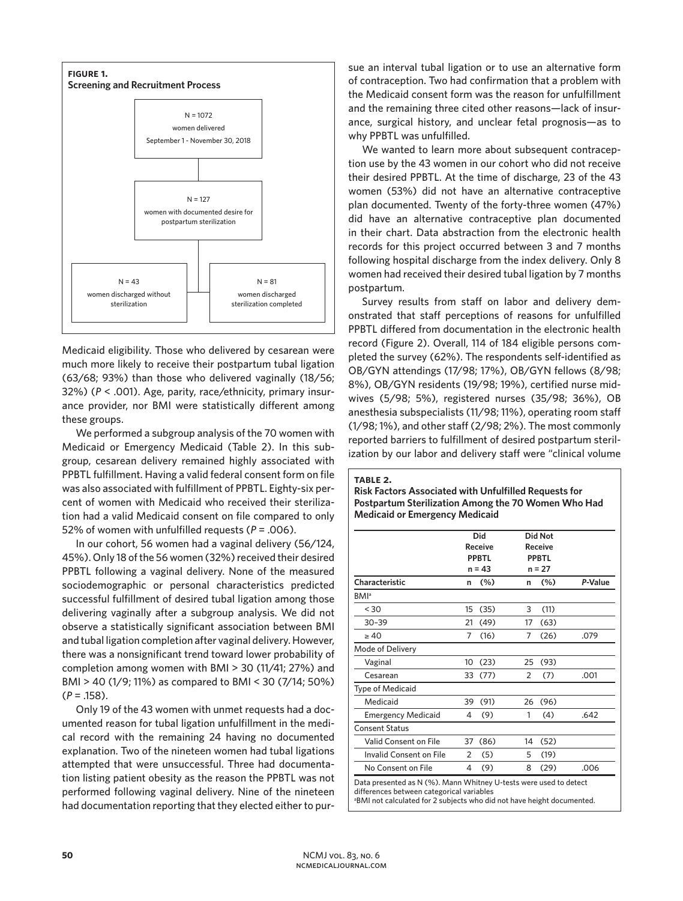

Medicaid eligibility. Those who delivered by cesarean were much more likely to receive their postpartum tubal ligation (63/68; 93%) than those who delivered vaginally (18/56; 32%) (*P* < .001). Age, parity, race/ethnicity, primary insurance provider, nor BMI were statistically different among these groups.

We performed a subgroup analysis of the 70 women with Medicaid or Emergency Medicaid (Table 2). In this subgroup, cesarean delivery remained highly associated with PPBTL fulfillment. Having a valid federal consent form on file was also associated with fulfillment of PPBTL. Eighty-six percent of women with Medicaid who received their sterilization had a valid Medicaid consent on file compared to only 52% of women with unfulfilled requests (*P* = .006).

In our cohort, 56 women had a vaginal delivery (56/124, 45%). Only 18 of the 56 women (32%) received their desired PPBTL following a vaginal delivery. None of the measured sociodemographic or personal characteristics predicted successful fulfillment of desired tubal ligation among those delivering vaginally after a subgroup analysis. We did not observe a statistically significant association between BMI and tubal ligation completion after vaginal delivery. However, there was a nonsignificant trend toward lower probability of completion among women with BMI > 30 (11/41; 27%) and BMI > 40 (1/9; 11%) as compared to BMI < 30 (7/14; 50%) (*P* = .158).

Only 19 of the 43 women with unmet requests had a documented reason for tubal ligation unfulfillment in the medical record with the remaining 24 having no documented explanation. Two of the nineteen women had tubal ligations attempted that were unsuccessful. Three had documentation listing patient obesity as the reason the PPBTL was not performed following vaginal delivery. Nine of the nineteen had documentation reporting that they elected either to pursue an interval tubal ligation or to use an alternative form of contraception. Two had confirmation that a problem with the Medicaid consent form was the reason for unfulfillment and the remaining three cited other reasons—lack of insurance, surgical history, and unclear fetal prognosis—as to why PPBTL was unfulfilled.

We wanted to learn more about subsequent contraception use by the 43 women in our cohort who did not receive their desired PPBTL. At the time of discharge, 23 of the 43 women (53%) did not have an alternative contraceptive plan documented. Twenty of the forty-three women (47%) did have an alternative contraceptive plan documented in their chart. Data abstraction from the electronic health records for this project occurred between 3 and 7 months following hospital discharge from the index delivery. Only 8 women had received their desired tubal ligation by 7 months postpartum.

Survey results from staff on labor and delivery demonstrated that staff perceptions of reasons for unfulfilled PPBTL differed from documentation in the electronic health record (Figure 2). Overall, 114 of 184 eligible persons completed the survey (62%). The respondents self-identified as OB/GYN attendings (17/98; 17%), OB/GYN fellows (8/98; 8%), OB/GYN residents (19/98; 19%), certified nurse midwives (5/98; 5%), registered nurses (35/98; 36%), OB anesthesia subspecialists (11/98; 11%), operating room staff (1/98; 1%), and other staff (2/98; 2%). The most commonly reported barriers to fulfillment of desired postpartum sterilization by our labor and delivery staff were "clinical volume

|                           |    | Did<br><b>Receive</b>    |                | <b>Did Not</b><br><b>Receive</b> |         |
|---------------------------|----|--------------------------|----------------|----------------------------------|---------|
|                           |    | <b>PPBTL</b><br>$n = 43$ |                | <b>PPBTL</b><br>$n = 27$         |         |
| Characteristic            | n  | (%)                      | n              | (%)                              | P-Value |
| <b>BMI</b> <sup>a</sup>   |    |                          |                |                                  |         |
| < 30                      | 15 | (35)                     | 3              | (11)                             |         |
| $30 - 39$                 | 21 | (49)                     | 17             | (63)                             |         |
| $\geq 40$                 | 7  | (16)                     | 7              | (26)                             | .079    |
| Mode of Delivery          |    |                          |                |                                  |         |
| Vaginal                   | 10 | (23)                     | 25             | (93)                             |         |
| Cesarean                  | 33 | (77)                     | $\overline{2}$ | (7)                              | .001    |
| <b>Type of Medicaid</b>   |    |                          |                |                                  |         |
| Medicaid                  | 39 | (91)                     | 26             | (96)                             |         |
| <b>Emergency Medicaid</b> | 4  | (9)                      | 1              | (4)                              | .642    |
| <b>Consent Status</b>     |    |                          |                |                                  |         |
| Valid Consent on File     | 37 | (86)                     | 14             | (52)                             |         |
| Invalid Consent on File   | 2  | (5)                      | 5              | (19)                             |         |
| No Consent on File        | 4  | (9)                      | 8              | (29)                             | .006    |

**table 2.**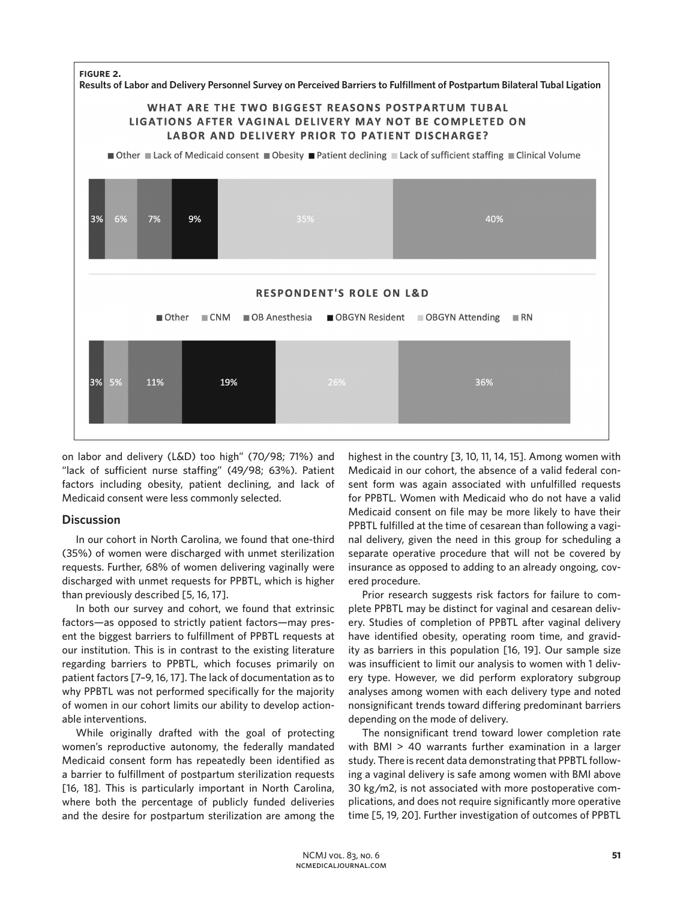

on labor and delivery (L&D) too high" (70/98; 71%) and "lack of sufficient nurse staffing" (49/98; 63%). Patient factors including obesity, patient declining, and lack of Medicaid consent were less commonly selected.

## **Discussion**

In our cohort in North Carolina, we found that one-third (35%) of women were discharged with unmet sterilization requests. Further, 68% of women delivering vaginally were discharged with unmet requests for PPBTL, which is higher than previously described [5, 16, 17].

In both our survey and cohort, we found that extrinsic factors—as opposed to strictly patient factors—may present the biggest barriers to fulfillment of PPBTL requests at our institution. This is in contrast to the existing literature regarding barriers to PPBTL, which focuses primarily on patient factors [7–9, 16, 17]. The lack of documentation as to why PPBTL was not performed specifically for the majority of women in our cohort limits our ability to develop actionable interventions.

While originally drafted with the goal of protecting women's reproductive autonomy, the federally mandated Medicaid consent form has repeatedly been identified as a barrier to fulfillment of postpartum sterilization requests [16, 18]. This is particularly important in North Carolina, where both the percentage of publicly funded deliveries and the desire for postpartum sterilization are among the

highest in the country [3, 10, 11, 14, 15]. Among women with Medicaid in our cohort, the absence of a valid federal consent form was again associated with unfulfilled requests for PPBTL. Women with Medicaid who do not have a valid Medicaid consent on file may be more likely to have their PPBTL fulfilled at the time of cesarean than following a vaginal delivery, given the need in this group for scheduling a separate operative procedure that will not be covered by insurance as opposed to adding to an already ongoing, covered procedure.

Prior research suggests risk factors for failure to complete PPBTL may be distinct for vaginal and cesarean delivery. Studies of completion of PPBTL after vaginal delivery have identified obesity, operating room time, and gravidity as barriers in this population [16, 19]. Our sample size was insufficient to limit our analysis to women with 1 delivery type. However, we did perform exploratory subgroup analyses among women with each delivery type and noted nonsignificant trends toward differing predominant barriers depending on the mode of delivery.

The nonsignificant trend toward lower completion rate with BMI > 40 warrants further examination in a larger study. There is recent data demonstrating that PPBTL following a vaginal delivery is safe among women with BMI above 30 kg/m2, is not associated with more postoperative complications, and does not require significantly more operative time [5, 19, 20]. Further investigation of outcomes of PPBTL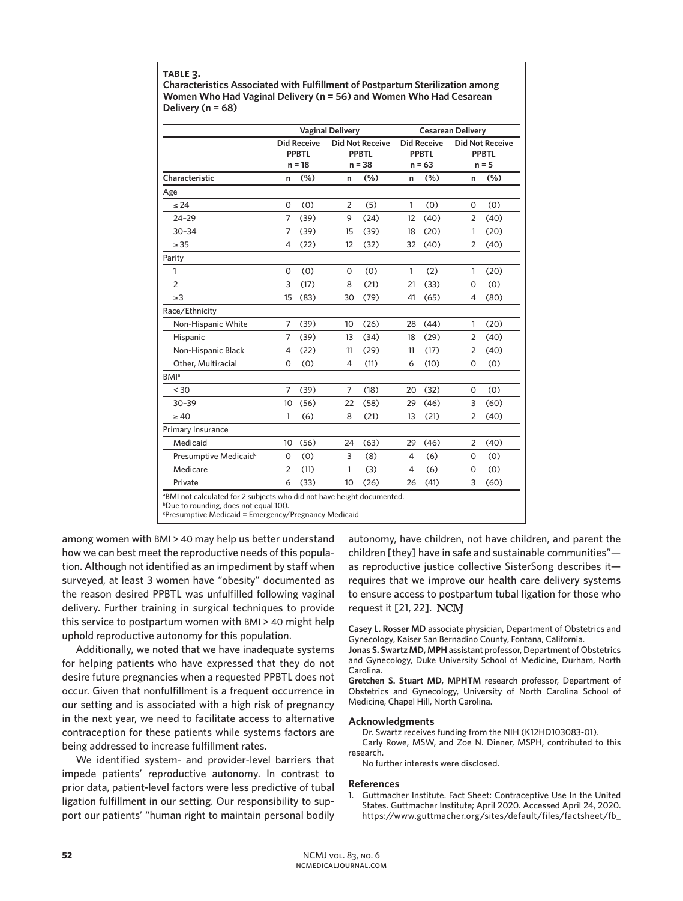**table 3.**

**Characteristics Associated with Fulfillment of Postpartum Sterilization among Women Who Had Vaginal Delivery (n = 56) and Women Who Had Cesarean Delivery (n = 68)**

|                                   | <b>Vaginal Delivery</b> |                                                |                                                    |      | <b>Cesarean Delivery</b>                       |      |                                                   |      |  |
|-----------------------------------|-------------------------|------------------------------------------------|----------------------------------------------------|------|------------------------------------------------|------|---------------------------------------------------|------|--|
|                                   |                         | <b>Did Receive</b><br><b>PPBTL</b><br>$n = 18$ | <b>Did Not Receive</b><br><b>PPBTL</b><br>$n = 38$ |      | <b>Did Receive</b><br><b>PPBTL</b><br>$n = 63$ |      | <b>Did Not Receive</b><br><b>PPBTL</b><br>$n = 5$ |      |  |
| Characteristic                    | n                       | (%)                                            | n                                                  | (%)  | n                                              | (%)  | n                                                 | (%)  |  |
| Age                               |                         |                                                |                                                    |      |                                                |      |                                                   |      |  |
| $\leq 24$                         | $\mathbf 0$             | (0)                                            | $\overline{2}$                                     | (5)  | $\mathbf{1}$                                   | (0)  | $\mathsf{O}$                                      | (0)  |  |
| $24 - 29$                         | 7                       | (39)                                           | 9                                                  | (24) | 12                                             | (40) | 2                                                 | (40) |  |
| $30 - 34$                         | 7                       | (39)                                           | 15                                                 | (39) | 18                                             | (20) | 1                                                 | (20) |  |
| $\geq 35$                         | 4                       | (22)                                           | 12                                                 | (32) | 32                                             | (40) | 2                                                 | (40) |  |
| Parity                            |                         |                                                |                                                    |      |                                                |      |                                                   |      |  |
| 1                                 | $\mathbf 0$             | (0)                                            | 0                                                  | (0)  | $\mathbf{1}$                                   | (2)  | $\mathbf{1}$                                      | (20) |  |
| $\overline{2}$                    | 3                       | (17)                                           | 8                                                  | (21) | 21                                             | (33) | 0                                                 | (0)  |  |
| $\geq$ 3                          | 15                      | (83)                                           | 30                                                 | (79) | 41                                             | (65) | $\overline{4}$                                    | (80) |  |
| Race/Ethnicity                    |                         |                                                |                                                    |      |                                                |      |                                                   |      |  |
| Non-Hispanic White                | 7                       | (39)                                           | 10                                                 | (26) | 28                                             | (44) | 1                                                 | (20) |  |
| Hispanic                          | 7                       | (39)                                           | 13                                                 | (34) | 18                                             | (29) | $\overline{2}$                                    | (40) |  |
| Non-Hispanic Black                | $\overline{4}$          | (22)                                           | 11                                                 | (29) | 11                                             | (17) | 2                                                 | (40) |  |
| Other, Multiracial                | $\Omega$                | (0)                                            | $\overline{4}$                                     | (11) | 6                                              | (10) | 0                                                 | (0)  |  |
| <b>BMI</b> <sup>a</sup>           |                         |                                                |                                                    |      |                                                |      |                                                   |      |  |
| < 30                              | 7                       | (39)                                           | $\overline{7}$                                     | (18) | 20                                             | (32) | $\mathbf 0$                                       | (0)  |  |
| $30 - 39$                         | 10                      | (56)                                           | 22                                                 | (58) | 29                                             | (46) | 3                                                 | (60) |  |
| $\geq 40$                         | 1                       | (6)                                            | 8                                                  | (21) | 13                                             | (21) | 2                                                 | (40) |  |
| Primary Insurance                 |                         |                                                |                                                    |      |                                                |      |                                                   |      |  |
| Medicaid                          | 10                      | (56)                                           | 24                                                 | (63) | 29                                             | (46) | 2                                                 | (40) |  |
| Presumptive Medicaid <sup>c</sup> | $\mathbf 0$             | (0)                                            | 3                                                  | (8)  | 4                                              | (6)  | $\mathbf 0$                                       | (0)  |  |
| Medicare                          | $\overline{2}$          | (11)                                           | $\mathbf{1}$                                       | (3)  | $\overline{4}$                                 | (6)  | 0                                                 | (0)  |  |
| Private                           | 6                       | (33)                                           | 10                                                 | (26) | 26                                             | (41) | 3                                                 | (60) |  |

b Due to rounding, does not equal 100.

c Presumptive Medicaid = Emergency/Pregnancy Medicaid

among women with BMI > 40 may help us better understand how we can best meet the reproductive needs of this population. Although not identified as an impediment by staff when surveyed, at least 3 women have "obesity" documented as the reason desired PPBTL was unfulfilled following vaginal delivery. Further training in surgical techniques to provide this service to postpartum women with BMI > 40 might help uphold reproductive autonomy for this population.

Additionally, we noted that we have inadequate systems for helping patients who have expressed that they do not desire future pregnancies when a requested PPBTL does not occur. Given that nonfulfillment is a frequent occurrence in our setting and is associated with a high risk of pregnancy in the next year, we need to facilitate access to alternative contraception for these patients while systems factors are being addressed to increase fulfillment rates.

We identified system- and provider-level barriers that impede patients' reproductive autonomy. In contrast to prior data, patient-level factors were less predictive of tubal ligation fulfillment in our setting. Our responsibility to support our patients' "human right to maintain personal bodily

autonomy, have children, not have children, and parent the children [they] have in safe and sustainable communities" as reproductive justice collective SisterSong describes it requires that we improve our health care delivery systems to ensure access to postpartum tubal ligation for those who request it [21, 22].

**Casey L. Rosser MD** associate physician, Department of Obstetrics and Gynecology, Kaiser San Bernadino County, Fontana, California.

**Jonas S. Swartz MD, MPH** assistant professor, Department of Obstetrics and Gynecology, Duke University School of Medicine, Durham, North Carolina.

**Gretchen S. Stuart MD, MPHTM** research professor, Department of Obstetrics and Gynecology, University of North Carolina School of Medicine, Chapel Hill, North Carolina.

#### **Acknowledgments**

Dr. Swartz receives funding from the NIH (K12HD103083-01). Carly Rowe, MSW, and Zoe N. Diener, MSPH, contributed to this research.

No further interests were disclosed.

#### **References**

1. Guttmacher Institute. Fact Sheet: Contraceptive Use In the United States. Guttmacher Institute; April 2020. Accessed April 24, 2020. https://www.guttmacher.org/sites/default/files/factsheet/fb\_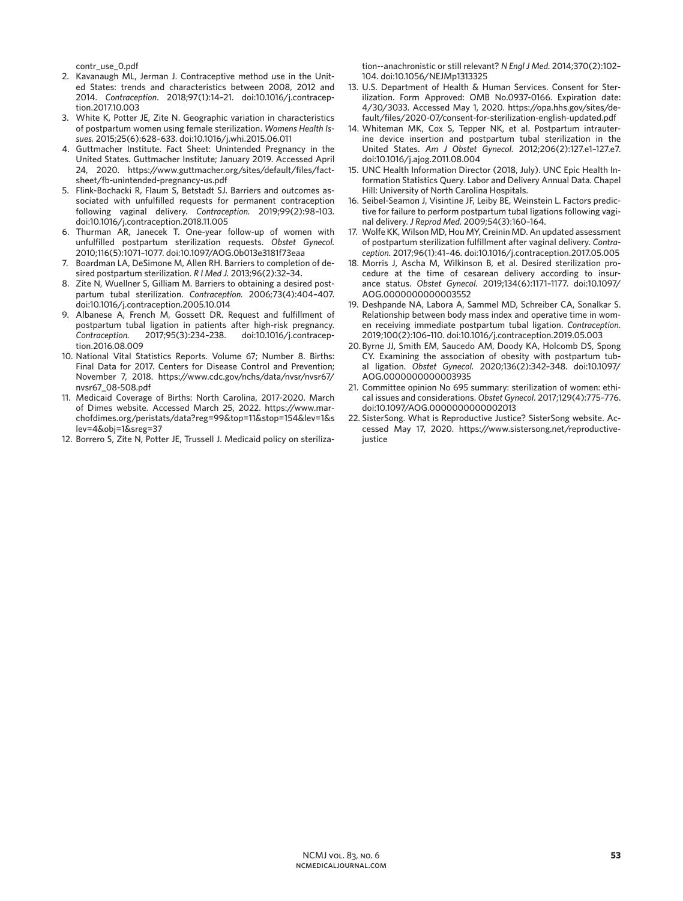contr\_use\_0.pdf

- 2. Kavanaugh ML, Jerman J. Contraceptive method use in the United States: trends and characteristics between 2008, 2012 and 2014. *Contraception*. 2018;97(1):14–21. doi:10.1016/j.contraception.2017.10.003
- 3. White K, Potter JE, Zite N. Geographic variation in characteristics of postpartum women using female sterilization. *Womens Health Issues.* 2015;25(6):628–633. doi:10.1016/j.whi.2015.06.011
- 4. Guttmacher Institute. Fact Sheet: Unintended Pregnancy in the United States. Guttmacher Institute; January 2019. Accessed April 24, 2020. https://www.guttmacher.org/sites/default/files/factsheet/fb-unintended-pregnancy-us.pdf
- 5. Flink-Bochacki R, Flaum S, Betstadt SJ. Barriers and outcomes associated with unfulfilled requests for permanent contraception following vaginal delivery. *Contraception.* 2019;99(2):98–103. doi:10.1016/j.contraception.2018.11.005
- 6. Thurman AR, Janecek T. One-year follow-up of women with unfulfilled postpartum sterilization requests. *Obstet Gynecol.* 2010;116(5):1071–1077. doi:10.1097/AOG.0b013e3181f73eaa
- 7. Boardman LA, DeSimone M, Allen RH. Barriers to completion of desired postpartum sterilization. *R I Med J.* 2013;96(2):32–34.
- 8. Zite N, Wuellner S, Gilliam M. Barriers to obtaining a desired postpartum tubal sterilization. *Contraception.* 2006;73(4):404–407. doi:10.1016/j.contraception.2005.10.014
- 9. Albanese A, French M, Gossett DR. Request and fulfillment of postpartum tubal ligation in patients after high-risk pregnancy. *Contraception.* 2017;95(3):234–238. doi:10.1016/j.contraception.2016.08.009
- 10. National Vital Statistics Reports. Volume 67; Number 8. Births: Final Data for 2017. Centers for Disease Control and Prevention; November 7, 2018. https://www.cdc.gov/nchs/data/nvsr/nvsr67/ nvsr67\_08-508.pdf
- 11. Medicaid Coverage of Births: North Carolina, 2017-2020. March of Dimes website. Accessed March 25, 2022. https://www.marchofdimes.org/peristats/data?reg=99&top=11&stop=154&lev=1&s lev=4&obj=1&sreg=37
- 12. Borrero S, Zite N, Potter JE, Trussell J. Medicaid policy on steriliza-

tion--anachronistic or still relevant? *N Engl J Med.* 2014;370(2):102– 104. doi:10.1056/NEJMp1313325

- 13. U.S. Department of Health & Human Services. Consent for Sterilization. Form Approved: OMB No.0937-0166. Expiration date: 4/30/3033. Accessed May 1, 2020. https://opa.hhs.gov/sites/default/files/2020-07/consent-for-sterilization-english-updated.pdf
- 14. Whiteman MK, Cox S, Tepper NK, et al. Postpartum intrauterine device insertion and postpartum tubal sterilization in the United States. *Am J Obstet Gynecol.* 2012;206(2):127.e1–127.e7. doi:10.1016/j.ajog.2011.08.004
- 15. UNC Health Information Director (2018, July). UNC Epic Health Information Statistics Query. Labor and Delivery Annual Data. Chapel Hill: University of North Carolina Hospitals.
- 16. Seibel-Seamon J, Visintine JF, Leiby BE, Weinstein L. Factors predictive for failure to perform postpartum tubal ligations following vaginal delivery. *J Reprod Med.* 2009;54(3):160–164.
- 17. Wolfe KK, Wilson MD, Hou MY, Creinin MD. An updated assessment of postpartum sterilization fulfillment after vaginal delivery. *Contraception.* 2017;96(1):41–46. doi:10.1016/j.contraception.2017.05.005
- 18. Morris J, Ascha M, Wilkinson B, et al. Desired sterilization procedure at the time of cesarean delivery according to insurance status. *Obstet Gynecol.* 2019;134(6):1171–1177. doi:10.1097/ AOG.0000000000003552
- 19. Deshpande NA, Labora A, Sammel MD, Schreiber CA, Sonalkar S. Relationship between body mass index and operative time in women receiving immediate postpartum tubal ligation. *Contraception.* 2019;100(2):106–110. doi:10.1016/j.contraception.2019.05.003
- 20. Byrne JJ, Smith EM, Saucedo AM, Doody KA, Holcomb DS, Spong CY. Examining the association of obesity with postpartum tubal ligation. *Obstet Gynecol.* 2020;136(2):342–348. doi:10.1097/ AOG.0000000000003935
- 21. Committee opinion No 695 summary: sterilization of women: ethical issues and considerations. *Obstet Gynecol.* 2017;129(4):775–776. doi:10.1097/AOG.0000000000002013
- 22. SisterSong. What is Reproductive Justice? SisterSong website. Accessed May 17, 2020. https://www.sistersong.net/reproductivejustice